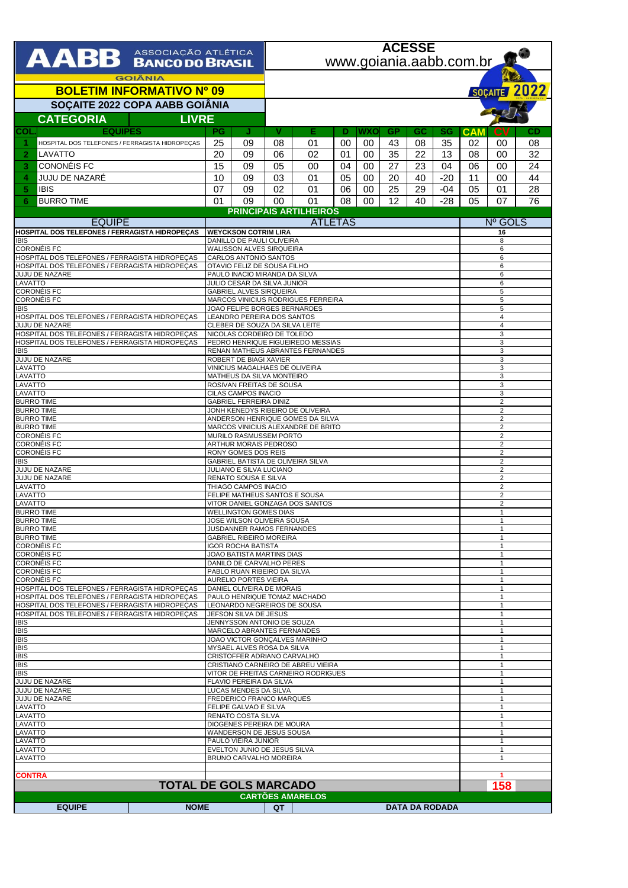| AABB ASSOCIAÇÃO ATLÉTICA                                                                         |                                                              |                                                                  | <b>ACESSE</b><br>www.goiania.aabb.com.br                                  |                                    |    |     |                       |        |                              |                                  |                                  |                              |  |  |
|--------------------------------------------------------------------------------------------------|--------------------------------------------------------------|------------------------------------------------------------------|---------------------------------------------------------------------------|------------------------------------|----|-----|-----------------------|--------|------------------------------|----------------------------------|----------------------------------|------------------------------|--|--|
| <b>GOIÂNIA</b>                                                                                   |                                                              |                                                                  |                                                                           |                                    |    |     |                       |        |                              |                                  |                                  | SOÇAITE 2022                 |  |  |
| <b>BOLETIM INFORMATIVO Nº 09</b>                                                                 |                                                              |                                                                  |                                                                           |                                    |    |     |                       |        |                              |                                  |                                  |                              |  |  |
| SOÇAITE 2022 COPA AABB GOIÂNIA<br><b>LIVRE</b>                                                   |                                                              |                                                                  |                                                                           |                                    |    |     |                       |        |                              |                                  |                                  |                              |  |  |
| <b>CATEGORIA</b><br><b>EQUIPES</b><br>COL                                                        | PG                                                           | J                                                                | v                                                                         | Е                                  | Ð  | WXO | <b>GP</b>             | GC     | SG                           | <b>CAM</b>                       | СV                               | CD                           |  |  |
| HOSPITAL DOS TELEFONES / FERRAGISTA HIDROPEÇAS<br>1                                              | 25                                                           | 09                                                               | 08                                                                        | 01                                 | 00 | 00  | 43                    | 08     | 35                           | 02                               | 00                               | 08                           |  |  |
| $\overline{2}$<br>LAVATTO                                                                        | 20                                                           | 09                                                               | 06                                                                        | 02                                 | 01 | 00  | 35                    | 22     | 13                           | 08                               | 00                               | 32                           |  |  |
| CONONÉIS FC<br>3                                                                                 | 15                                                           | 09                                                               | 05                                                                        | 00                                 | 04 | 00  | 27                    | 23     | 04                           | 06                               | 00                               | 24                           |  |  |
| JUJU DE NAZARÉ<br>4                                                                              | 10                                                           | 09                                                               | 03                                                                        | 01                                 | 05 | 00  | 20                    | 40     | $-20$                        | 11                               | 00                               | 44                           |  |  |
| 5<br><b>IBIS</b>                                                                                 | 07                                                           | 09                                                               | 02                                                                        | 01                                 | 06 | 00  | 25                    | 29     | $-04$                        | 05                               | 01                               | 28                           |  |  |
| <b>BURRO TIME</b><br>6                                                                           | 01                                                           | 09                                                               | 00                                                                        | 01                                 | 08 | 00  | 12                    | 40     | $-28$                        | 05                               | 07                               | 76                           |  |  |
| <b>EQUIPE</b>                                                                                    |                                                              |                                                                  | <b>PRINCIPAIS ARTILHEIROS</b><br><b>ATLETAS</b>                           |                                    |    |     |                       |        |                              | Nº GOLS                          |                                  |                              |  |  |
| HOSPITAL DOS TELEFONES / FERRAGISTA HIDROPEÇAS                                                   | <b>WEYCKSON COTRIM LIRA</b>                                  |                                                                  |                                                                           |                                    |    |     |                       |        | 16                           |                                  |                                  |                              |  |  |
| <b>IBIS</b><br><b>CORONÉIS FC</b>                                                                | DANILLO DE PAULI OLIVEIRA<br><b>WALISSON ALVES SIRQUEIRA</b> |                                                                  |                                                                           |                                    |    |     |                       |        | 8<br>6                       |                                  |                                  |                              |  |  |
| HOSPITAL DOS TELEFONES / FERRAGISTA HIDROPEÇAS                                                   | CARLOS ANTONIO SANTOS<br>OTAVIO FELIZ DE SOUSA FILHO         |                                                                  |                                                                           |                                    |    |     |                       | 6      |                              |                                  |                                  |                              |  |  |
| HOSPITAL DOS TELEFONES / FERRAGISTA HIDROPEÇAS<br>JUJU DE NAZARE                                 |                                                              | PAULO INACIO MIRANDA DA SILVA                                    |                                                                           |                                    |    |     |                       |        |                              | 6<br>6                           |                                  |                              |  |  |
| LAVATTO<br><b>CORONÉIS FC</b>                                                                    | JULIO CESAR DA SILVA JUNIOR<br>GABRIEL ALVES SIRQUEIRA       |                                                                  |                                                                           |                                    |    |     |                       | 6<br>5 |                              |                                  |                                  |                              |  |  |
| <b>CORONÉIS FC</b>                                                                               |                                                              |                                                                  |                                                                           | MARCOS VINICIUS RODRIGUES FERREIRA |    |     |                       |        |                              | 5                                |                                  |                              |  |  |
| <b>IBIS</b><br>HOSPITAL DOS TELEFONES / FERRAGISTA HIDROPEÇAS                                    |                                                              |                                                                  | JOAO FELIPE BORGES BERNARDES<br>LEANDRO PEREIRA DOS SANTOS                |                                    |    |     |                       |        |                              | 5<br>$\overline{4}$              |                                  |                              |  |  |
| JUJU DE NAZARE                                                                                   |                                                              | CLEBER DE SOUZA DA SILVA LEITE                                   |                                                                           |                                    |    |     |                       |        |                              | $\overline{4}$                   |                                  |                              |  |  |
| HOSPITAL DOS TELEFONES / FERRAGISTA HIDROPEÇAS<br>HOSPITAL DOS TELEFONES / FERRAGISTA HIDROPEÇAS |                                                              | NICOLAS CORDEIRO DE TOLEDO<br>PEDRO HENRIQUE FIGUEIREDO MESSIAS  | 3<br>3                                                                    |                                    |    |     |                       |        |                              |                                  |                                  |                              |  |  |
| <b>IBIS</b>                                                                                      |                                                              |                                                                  | RENAN MATHEUS ABRANTES FERNANDES                                          |                                    |    |     |                       |        |                              |                                  | 3                                |                              |  |  |
| <b>JUJU DE NAZARE</b><br>LAVATTO                                                                 | ROBERT DE BIAGI XAVIER<br>VINICIUS MAGALHAES DE OLIVEIRA     |                                                                  |                                                                           |                                    |    |     |                       | 3<br>3 |                              |                                  |                                  |                              |  |  |
| LAVATTO                                                                                          | MATHEUS DA SILVA MONTEIRO<br>ROSIVAN FREITAS DE SOUSA        |                                                                  |                                                                           |                                    |    |     |                       | 3      |                              |                                  |                                  |                              |  |  |
| LAVATTO<br>LAVATTO                                                                               |                                                              | CILAS CAMPOS INACIO                                              |                                                                           |                                    |    |     |                       |        |                              | 3<br>3                           |                                  |                              |  |  |
| <b>BURRO TIME</b><br><b>BURRO TIME</b>                                                           |                                                              | <b>GABRIEL FERREIRA DINIZ</b>                                    |                                                                           | JONH KENEDYS RIBEIRO DE OLIVEIRA   |    |     |                       |        |                              |                                  | $\overline{2}$<br>$\overline{2}$ |                              |  |  |
| <b>BURRO TIME</b>                                                                                |                                                              |                                                                  | ANDERSON HENRIQUE GOMES DA SILVA                                          |                                    |    |     |                       |        |                              | $\overline{2}$                   |                                  |                              |  |  |
| <b>BURRO TIME</b><br><b>CORONÉIS FC</b>                                                          |                                                              |                                                                  | MARCOS VINICIUS ALEXANDRE DE BRITO<br>MURILO RASMUSSEM PORTO              |                                    |    |     |                       |        |                              | $\overline{2}$<br>$\overline{2}$ |                                  |                              |  |  |
| <b>CORONÉIS FC</b>                                                                               |                                                              |                                                                  | ARTHUR MORAIS PEDROSO                                                     |                                    |    |     |                       |        |                              | $\overline{2}$                   |                                  |                              |  |  |
| <b>CORONÉIS FC</b><br><b>RONY GOMES DOS REIS</b><br><b>IBIS</b>                                  |                                                              |                                                                  | GABRIEL BATISTA DE OLIVEIRA SILVA                                         |                                    |    |     |                       |        |                              |                                  | $\overline{2}$<br>2              |                              |  |  |
| JUJU DE NAZARE                                                                                   |                                                              |                                                                  | JULIANO E SILVA LUCIANO<br>RENATO SOUSA E SILVA                           |                                    |    |     |                       |        |                              |                                  |                                  |                              |  |  |
| JUJU DE NAZARE<br>LAVATTO                                                                        |                                                              | THIAGO CAMPOS INACIO                                             | $\overline{2}$<br>2                                                       |                                    |    |     |                       |        |                              |                                  |                                  |                              |  |  |
| LAVATTO<br>LAVATTO                                                                               |                                                              | FELIPE MATHEUS SANTOS E SOUSA<br>VITOR DANIEL GONZAGA DOS SANTOS | $\overline{2}$<br>$\overline{2}$                                          |                                    |    |     |                       |        |                              |                                  |                                  |                              |  |  |
| <b>BURRO TIME</b>                                                                                |                                                              | <b>WELLINGTON GOMES DIAS</b>                                     |                                                                           |                                    |    |     |                       |        |                              |                                  |                                  |                              |  |  |
| <b>BURRO TIME</b><br><b>BURRO TIME</b>                                                           | JOSE WILSON OLIVEIRA SOUSA<br>JUSDANNER RAMOS FERNANDES      |                                                                  |                                                                           |                                    |    |     |                       |        |                              |                                  | $\mathbf{1}$<br>1                |                              |  |  |
| <b>BURRO TIME</b>                                                                                | <b>GABRIEL RIBEIRO MOREIRA</b>                               |                                                                  |                                                                           |                                    |    |     |                       |        |                              |                                  | $\mathbf{1}$                     |                              |  |  |
| <b>CORONÉIS FC</b><br><b>CORONÉIS FC</b>                                                         | <b>IGOR ROCHA BATISTA</b><br>JOAO BATISTA MARTINS DIAS       |                                                                  |                                                                           |                                    |    |     |                       |        |                              |                                  | -1<br>$\mathbf{1}$               |                              |  |  |
| <b>CORONÉIS FC</b>                                                                               |                                                              | DANILO DE CARVALHO PERES                                         |                                                                           | $\mathbf{1}$                       |    |     |                       |        |                              |                                  |                                  |                              |  |  |
| <b>CORONÉIS FC</b><br>PABLO RUAN RIBEIRO DA SILVA<br><b>CORONÉIS FC</b><br>AURELIO PORTES VIEIRA |                                                              |                                                                  |                                                                           |                                    |    |     |                       |        |                              | 1<br>$\mathbf{1}$                |                                  |                              |  |  |
| HOSPITAL DOS TELEFONES / FERRAGISTA HIDROPECAS<br>HOSPITAL DOS TELEFONES / FERRAGISTA HIDROPECAS |                                                              | DANIEL OLIVEIRA DE MORAIS<br>PAULO HENRIQUE TOMAZ MACHADO        | $\mathbf{1}$                                                              |                                    |    |     |                       |        |                              |                                  |                                  |                              |  |  |
| HOSPITAL DOS TELEFONES / FERRAGISTA HIDROPEÇAS                                                   |                                                              | LEONARDO NEGREIROS DE SOUSA                                      | $\mathbf{1}$<br>$\mathbf{1}$                                              |                                    |    |     |                       |        |                              |                                  |                                  |                              |  |  |
| HOSPITAL DOS TELEFONES / FERRAGISTA HIDROPECAS<br>JEFSON SILVA DE JESUS<br><b>IBIS</b>           |                                                              |                                                                  | JENNYSSON ANTONIO DE SOUZA                                                |                                    |    |     |                       |        |                              |                                  | $\mathbf{1}$                     |                              |  |  |
| <b>IBIS</b>                                                                                      |                                                              |                                                                  | MARCELO ABRANTES FERNANDES                                                |                                    |    |     |                       |        |                              |                                  | $\mathbf{1}$<br>$\mathbf{1}$     |                              |  |  |
| <b>IBIS</b><br><b>IBIS</b>                                                                       | JOAO VICTOR GONÇALVES MARINHO<br>MYSAEL ALVES ROSA DA SILVA  |                                                                  |                                                                           |                                    |    |     |                       |        |                              |                                  |                                  |                              |  |  |
| IBIS                                                                                             |                                                              |                                                                  | CRISTOFFER ADRIANO CARVALHO                                               |                                    |    |     |                       |        |                              | $\mathbf{1}$<br>$\mathbf{1}$     |                                  |                              |  |  |
| <b>IBIS</b><br><b>IBIS</b>                                                                       |                                                              |                                                                  | CRISTIANO CARNEIRO DE ABREU VIEIRA<br>VITOR DE FREITAS CARNEIRO RODRIGUES |                                    |    |     |                       |        |                              |                                  | $\mathbf{1}$<br>$\mathbf{1}$     |                              |  |  |
| JUJU DE NAZARE<br>FLAVIO PEREIRA DA SILVA<br>LUCAS MENDES DA SILVA                               |                                                              |                                                                  |                                                                           |                                    |    |     |                       |        |                              |                                  |                                  |                              |  |  |
| JUJU DE NAZARE<br>JUJU DE NAZARE                                                                 |                                                              |                                                                  |                                                                           | <b>FREDERICO FRANCO MARQUES</b>    |    |     |                       |        |                              |                                  | $\mathbf{1}$<br>$\mathbf{1}$     |                              |  |  |
| LAVATTO<br>LAVATTO                                                                               |                                                              | FELIPE GALVAO E SILVA<br>RENATO COSTA SILVA                      |                                                                           |                                    |    |     |                       |        |                              |                                  |                                  | $\mathbf{1}$<br>$\mathbf{1}$ |  |  |
| LAVATTO                                                                                          |                                                              |                                                                  | DIOGENES PEREIRA DE MOURA                                                 |                                    |    |     |                       |        |                              |                                  | $\overline{1}$                   |                              |  |  |
| LAVATTO<br>LAVATTO                                                                               |                                                              | PAULO VIEIRA JUNIOR                                              | WANDERSON DE JESUS SOUSA                                                  |                                    |    |     |                       |        |                              |                                  | 1<br>$\mathbf{1}$                |                              |  |  |
| LAVATTO                                                                                          | EVELTON JUNIO DE JESUS SILVA                                 |                                                                  |                                                                           |                                    |    |     |                       |        | $\mathbf{1}$<br>$\mathbf{1}$ |                                  |                                  |                              |  |  |
| LAVATTO                                                                                          | BRUNO CARVALHO MOREIRA                                       |                                                                  |                                                                           |                                    |    |     |                       |        |                              |                                  |                                  |                              |  |  |
| <b>CONTRA</b>                                                                                    |                                                              |                                                                  |                                                                           |                                    |    |     |                       |        |                              |                                  | $\overline{1}$                   |                              |  |  |
| <b>TOTAL DE GOLS MARCADO</b>                                                                     |                                                              |                                                                  |                                                                           | <b>CARTÕES AMARELOS</b>            |    |     |                       |        |                              |                                  | 158                              |                              |  |  |
| <b>EQUIPE</b><br><b>NOME</b>                                                                     |                                                              |                                                                  | QT                                                                        |                                    |    |     | <b>DATA DA RODADA</b> |        |                              |                                  |                                  |                              |  |  |